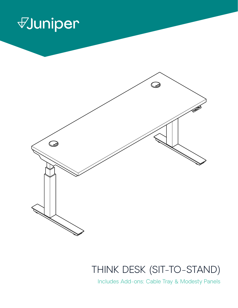



### THINK DESK (SIT-TO-STAND)

Includes Add-ons: Cable Tray & Modesty Panels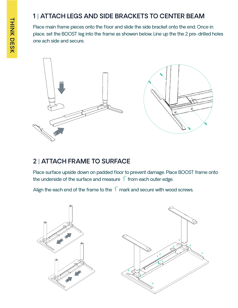#### **1** | **ATTACH LEGS AND SIDE BRACKETS TO CENTER BEAM**

Place main frame pieces onto the floor and slide the side bracket onto the end. Once in place, set the BOOST leg into the frame as showen below. Line up the the 2 pre-drilled holes one ach side and secure.



#### **2** | **ATTACH FRAME TO SURFACE**

Place surface upside down on padded floor to prevent damage. Place BOOST frame onto the underside of the surface and measure  $1$ <sup>"</sup> from each outer edge.

Align the each end of the frame to the  $1$ " mark and secure with wood screws.

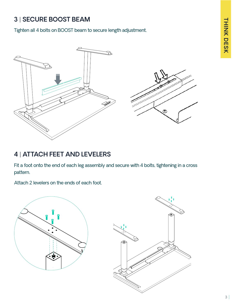#### **3** | **SECURE BOOST BEAM**

Tighten all 4 bolts on BOOST beam to secure length adjustment.



#### **4** | **ATTACH FEET AND LEVELERS**

Fit a foot onto the end of each leg assembly and secure with 4 bolts, tightening in a cross pattern.

Attach 2 levelers on the ends of each foot.

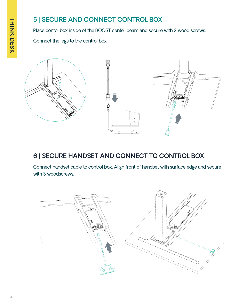#### **5** | **SECURE AND CONNECT CONTROL BOX**

Place contol box inside of the BOOST center beam and secure with 2 wood screws.

Connect the legs to the control box.



#### **6** | **SECURE HANDSET AND CONNECT TO CONTROL BOX**

Connect handset cable to control box. Align front of handset with surface edge and secure with 3 woodscrews.

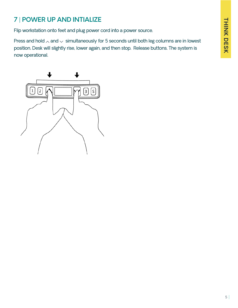#### **7** | **POWER UP AND INTIALIZE**

Flip workstation onto feet and plug power cord into a power source.

Press and hold  $\land$  and  $\lor$  simultaneously for 5 seconds until both leg columns are in lowest position. Desk will slightly rise, lower again, and then stop. Release buttons. The system is now operational.

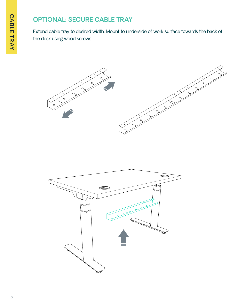#### **OPTIONAL: SECURE CABLE TRAY**

Extend cable tray to desired width. Mount to underside of work surface towards the back of the desk using wood screws.



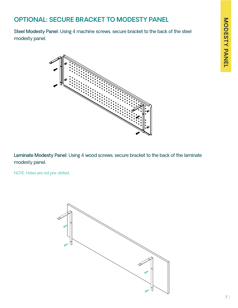# MODESTY PANEL **MODESTY PANEL**

#### **OPTIONAL: SECURE BRACKET TO MODESTY PANEL**

Steel Modesty Panel: Using 4 machine screws, secure bracket to the back of the steel modesty panel.



Laminate Modesty Panel: Using 4 wood screws, secure bracket to the back of the laminate modesty panel.

NOTE: Holes are not pre-drilled.

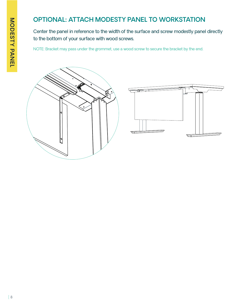#### **OPTIONAL: ATTACH MODESTY PANEL TO WORKSTATION**

Center the panel in reference to the width of the surface and screw modestly panel directly to the bottom of your surface with wood screws.

NOTE: Bracket may pass under the grommet, use a wood screw to secure the bracket by the end.